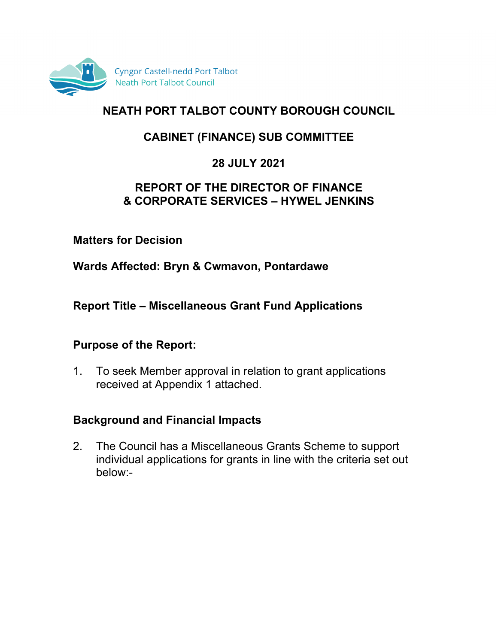

# **NEATH PORT TALBOT COUNTY BOROUGH COUNCIL**

# **CABINET (FINANCE) SUB COMMITTEE**

## **28 JULY 2021**

#### **REPORT OF THE DIRECTOR OF FINANCE & CORPORATE SERVICES – HYWEL JENKINS**

#### **Matters for Decision**

**Wards Affected: Bryn & Cwmavon, Pontardawe**

**Report Title – Miscellaneous Grant Fund Applications**

#### **Purpose of the Report:**

1. To seek Member approval in relation to grant applications received at Appendix 1 attached.

#### **Background and Financial Impacts**

2. The Council has a Miscellaneous Grants Scheme to support individual applications for grants in line with the criteria set out below:-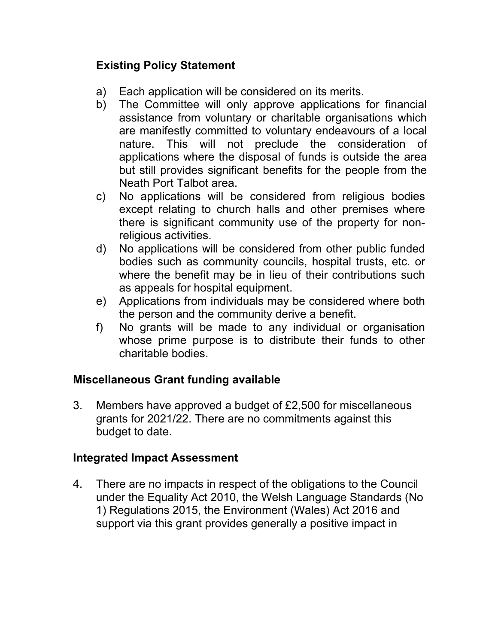# **Existing Policy Statement**

- a) Each application will be considered on its merits.
- b) The Committee will only approve applications for financial assistance from voluntary or charitable organisations which are manifestly committed to voluntary endeavours of a local nature. This will not preclude the consideration of applications where the disposal of funds is outside the area but still provides significant benefits for the people from the Neath Port Talbot area.
- c) No applications will be considered from religious bodies except relating to church halls and other premises where there is significant community use of the property for nonreligious activities.
- d) No applications will be considered from other public funded bodies such as community councils, hospital trusts, etc. or where the benefit may be in lieu of their contributions such as appeals for hospital equipment.
- e) Applications from individuals may be considered where both the person and the community derive a benefit.
- f) No grants will be made to any individual or organisation whose prime purpose is to distribute their funds to other charitable bodies.

# **Miscellaneous Grant funding available**

3. Members have approved a budget of £2,500 for miscellaneous grants for 2021/22. There are no commitments against this budget to date.

## **Integrated Impact Assessment**

4. There are no impacts in respect of the obligations to the Council under the Equality Act 2010, the Welsh Language Standards (No 1) Regulations 2015, the Environment (Wales) Act 2016 and support via this grant provides generally a positive impact in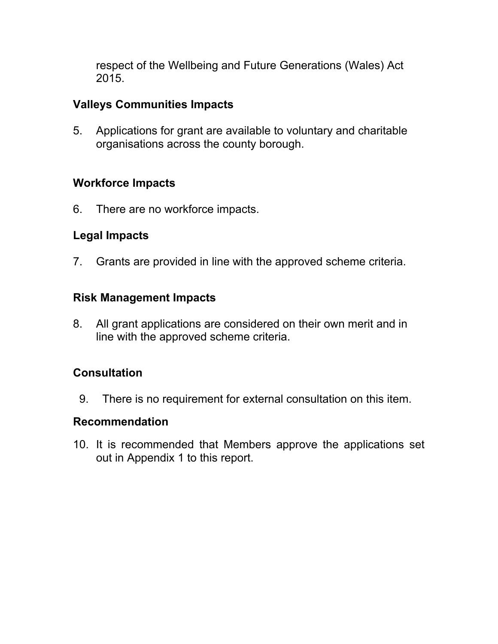respect of the Wellbeing and Future Generations (Wales) Act 2015.

## **Valleys Communities Impacts**

5. Applications for grant are available to voluntary and charitable organisations across the county borough.

## **Workforce Impacts**

6. There are no workforce impacts.

## **Legal Impacts**

7. Grants are provided in line with the approved scheme criteria.

#### **Risk Management Impacts**

8. All grant applications are considered on their own merit and in line with the approved scheme criteria.

# **Consultation**

9. There is no requirement for external consultation on this item.

#### **Recommendation**

10. It is recommended that Members approve the applications set out in Appendix 1 to this report.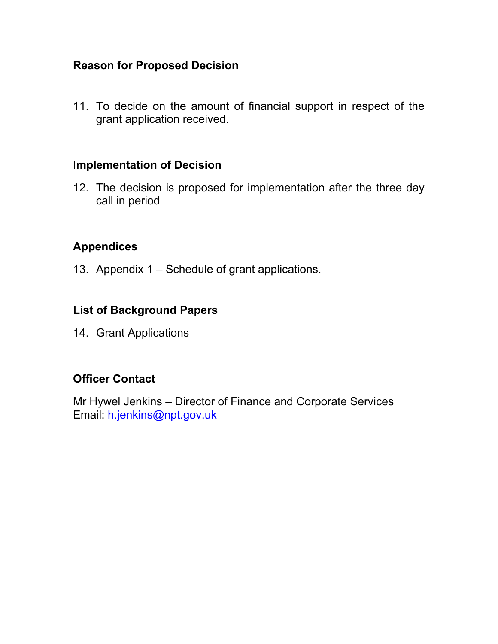#### **Reason for Proposed Decision**

11. To decide on the amount of financial support in respect of the grant application received.

#### I**mplementation of Decision**

12. The decision is proposed for implementation after the three day call in period

## **Appendices**

13. Appendix 1 – Schedule of grant applications.

## **List of Background Papers**

14. Grant Applications

#### **Officer Contact**

Mr Hywel Jenkins – Director of Finance and Corporate Services Email: [h.jenkins@npt.gov.uk](mailto:h.jenkins@npt.gov.uk)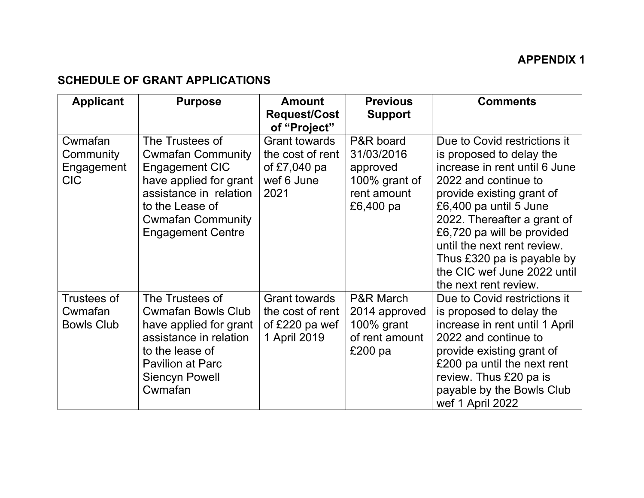# **APPENDIX 1**

## **SCHEDULE OF GRANT APPLICATIONS**

| <b>Applicant</b>                                   | <b>Purpose</b>                                                                                                                                                                               | <b>Amount</b><br><b>Request/Cost</b>                                             | <b>Previous</b><br><b>Support</b>                                                  | <b>Comments</b>                                                                                                                                                                                                                                                                                                                                            |
|----------------------------------------------------|----------------------------------------------------------------------------------------------------------------------------------------------------------------------------------------------|----------------------------------------------------------------------------------|------------------------------------------------------------------------------------|------------------------------------------------------------------------------------------------------------------------------------------------------------------------------------------------------------------------------------------------------------------------------------------------------------------------------------------------------------|
|                                                    |                                                                                                                                                                                              | of "Project"                                                                     |                                                                                    |                                                                                                                                                                                                                                                                                                                                                            |
| Cwmafan<br>Community<br>Engagement<br><b>CIC</b>   | The Trustees of<br><b>Cwmafan Community</b><br>Engagement CIC<br>have applied for grant<br>assistance in relation<br>to the Lease of<br><b>Cwmafan Community</b><br><b>Engagement Centre</b> | <b>Grant towards</b><br>the cost of rent<br>of $£7,040$ pa<br>wef 6 June<br>2021 | P&R board<br>31/03/2016<br>approved<br>100% grant of<br>rent amount<br>£6,400 pa   | Due to Covid restrictions it<br>is proposed to delay the<br>increase in rent until 6 June<br>2022 and continue to<br>provide existing grant of<br>£6,400 pa until 5 June<br>2022. Thereafter a grant of<br>£6,720 pa will be provided<br>until the next rent review.<br>Thus £320 pa is payable by<br>the CIC wef June 2022 until<br>the next rent review. |
| <b>Trustees of</b><br>Cwmafan<br><b>Bowls Club</b> | The Trustees of<br><b>Cwmafan Bowls Club</b><br>have applied for grant<br>assistance in relation<br>to the lease of<br>Pavilion at Parc<br>Siencyn Powell<br>Cwmafan                         | <b>Grant towards</b><br>the cost of rent<br>of £220 pa wef<br>1 April 2019       | <b>P&amp;R March</b><br>2014 approved<br>100% grant<br>of rent amount<br>£200 $pa$ | Due to Covid restrictions it<br>is proposed to delay the<br>increase in rent until 1 April<br>2022 and continue to<br>provide existing grant of<br>£200 pa until the next rent<br>review. Thus £20 pa is<br>payable by the Bowls Club<br>wef 1 April 2022                                                                                                  |